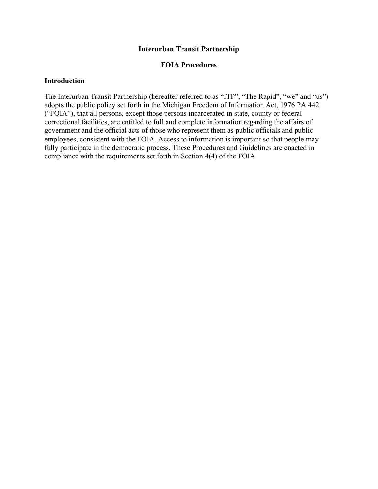#### **Interurban Transit Partnership**

#### **FOIA Procedures**

#### **Introduction**

The Interurban Transit Partnership (hereafter referred to as "ITP", "The Rapid", "we" and "us") adopts the public policy set forth in the Michigan Freedom of Information Act, 1976 PA 442 ("FOIA"), that all persons, except those persons incarcerated in state, county or federal correctional facilities, are entitled to full and complete information regarding the affairs of government and the official acts of those who represent them as public officials and public employees, consistent with the FOIA. Access to information is important so that people may fully participate in the democratic process. These Procedures and Guidelines are enacted in compliance with the requirements set forth in Section 4(4) of the FOIA.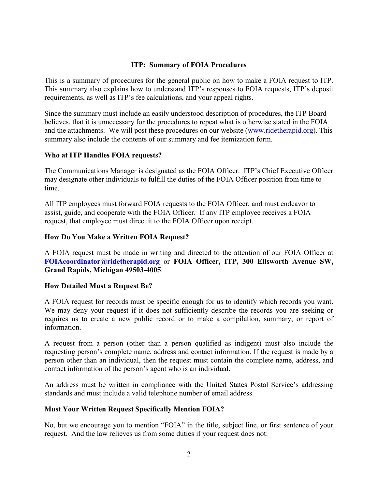#### **ITP: Summary of FOIA Procedures**

This is a summary of procedures for the general public on how to make a FOIA request to ITP. This summary also explains how to understand ITP's responses to FOIA requests, ITP's deposit requirements, as well as ITP's fee calculations, and your appeal rights.

Since the summary must include an easily understood description of procedures, the ITP Board believes, that it is unnecessary for the procedures to repeat what is otherwise stated in the FOIA and the attachments. We will post these procedures on our website [\(www.ridetherapid.org\)](http://www.ridetherapid.org/). This summary also include the contents of our summary and fee itemization form.

## **Who at ITP Handles FOIA requests?**

The Communications Manager is designated as the FOIA Officer. ITP's Chief Executive Officer may designate other individuals to fulfill the duties of the FOIA Officer position from time to time.

All ITP employees must forward FOIA requests to the FOIA Officer, and must endeavor to assist, guide, and cooperate with the FOIA Officer. If any ITP employee receives a FOIA request, that employee must direct it to the FOIA Officer upon receipt.

## **How Do You Make a Written FOIA Request?**

A FOIA request must be made in writing and directed to the attention of our FOIA Officer at **[FOIAcoordinator@ridetherapid.org](mailto:FOIAcoordinator@ridetherapid.org)** or **FOIA Officer, ITP, 300 Ellsworth Avenue SW, Grand Rapids, Michigan 49503-4005**.

#### **How Detailed Must a Request Be?**

A FOIA request for records must be specific enough for us to identify which records you want. We may deny your request if it does not sufficiently describe the records you are seeking or requires us to create a new public record or to make a compilation, summary, or report of information.

A request from a person (other than a person qualified as indigent) must also include the requesting person's complete name, address and contact information. If the request is made by a person other than an individual, then the request must contain the complete name, address, and contact information of the person's agent who is an individual.

An address must be written in compliance with the United States Postal Service's addressing standards and must include a valid telephone number of email address.

#### **Must Your Written Request Specifically Mention FOIA?**

No, but we encourage you to mention "FOIA" in the title, subject line, or first sentence of your request. And the law relieves us from some duties if your request does not: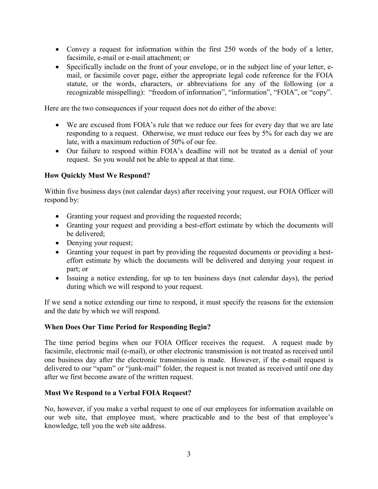- Convey a request for information within the first 250 words of the body of a letter, facsimile, e-mail or e-mail attachment; or
- Specifically include on the front of your envelope, or in the subject line of your letter, email, or facsimile cover page, either the appropriate legal code reference for the FOIA statute, or the words, characters, or abbreviations for any of the following (or a recognizable misspelling): "freedom of information", "information", "FOIA", or "copy".

Here are the two consequences if your request does not do either of the above:

- We are excused from FOIA's rule that we reduce our fees for every day that we are late responding to a request. Otherwise, we must reduce our fees by 5% for each day we are late, with a maximum reduction of 50% of our fee.
- Our failure to respond within FOIA's deadline will not be treated as a denial of your request. So you would not be able to appeal at that time.

## **How Quickly Must We Respond?**

Within five business days (not calendar days) after receiving your request, our FOIA Officer will respond by:

- Granting your request and providing the requested records;
- Granting your request and providing a best-effort estimate by which the documents will be delivered;
- Denying your request;
- Granting your request in part by providing the requested documents or providing a besteffort estimate by which the documents will be delivered and denying your request in part; or
- Issuing a notice extending, for up to ten business days (not calendar days), the period during which we will respond to your request.

If we send a notice extending our time to respond, it must specify the reasons for the extension and the date by which we will respond.

#### **When Does Our Time Period for Responding Begin?**

The time period begins when our FOIA Officer receives the request. A request made by facsimile, electronic mail (e-mail), or other electronic transmission is not treated as received until one business day after the electronic transmission is made. However, if the e-mail request is delivered to our "spam" or "junk-mail" folder, the request is not treated as received until one day after we first become aware of the written request.

#### **Must We Respond to a Verbal FOIA Request?**

No, however, if you make a verbal request to one of our employees for information available on our web site, that employee must, where practicable and to the best of that employee's knowledge, tell you the web site address.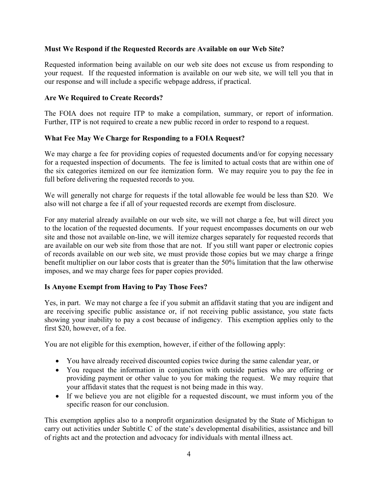## **Must We Respond if the Requested Records are Available on our Web Site?**

Requested information being available on our web site does not excuse us from responding to your request. If the requested information is available on our web site, we will tell you that in our response and will include a specific webpage address, if practical.

#### **Are We Required to Create Records?**

The FOIA does not require ITP to make a compilation, summary, or report of information. Further, ITP is not required to create a new public record in order to respond to a request.

#### **What Fee May We Charge for Responding to a FOIA Request?**

We may charge a fee for providing copies of requested documents and/or for copying necessary for a requested inspection of documents. The fee is limited to actual costs that are within one of the six categories itemized on our fee itemization form. We may require you to pay the fee in full before delivering the requested records to you.

We will generally not charge for requests if the total allowable fee would be less than \$20. We also will not charge a fee if all of your requested records are exempt from disclosure.

For any material already available on our web site, we will not charge a fee, but will direct you to the location of the requested documents. If your request encompasses documents on our web site and those not available on-line, we will itemize charges separately for requested records that are available on our web site from those that are not. If you still want paper or electronic copies of records available on our web site, we must provide those copies but we may charge a fringe benefit multiplier on our labor costs that is greater than the 50% limitation that the law otherwise imposes, and we may charge fees for paper copies provided.

## **Is Anyone Exempt from Having to Pay Those Fees?**

Yes, in part. We may not charge a fee if you submit an affidavit stating that you are indigent and are receiving specific public assistance or, if not receiving public assistance, you state facts showing your inability to pay a cost because of indigency. This exemption applies only to the first \$20, however, of a fee.

You are not eligible for this exemption, however, if either of the following apply:

- You have already received discounted copies twice during the same calendar year, or
- You request the information in conjunction with outside parties who are offering or providing payment or other value to you for making the request. We may require that your affidavit states that the request is not being made in this way.
- If we believe you are not eligible for a requested discount, we must inform you of the specific reason for our conclusion.

This exemption applies also to a nonprofit organization designated by the State of Michigan to carry out activities under Subtitle C of the state's developmental disabilities, assistance and bill of rights act and the protection and advocacy for individuals with mental illness act.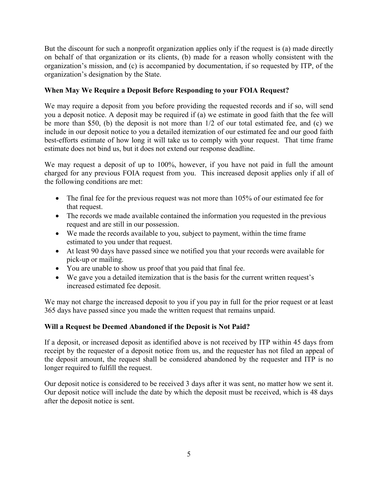But the discount for such a nonprofit organization applies only if the request is (a) made directly on behalf of that organization or its clients, (b) made for a reason wholly consistent with the organization's mission, and (c) is accompanied by documentation, if so requested by ITP, of the organization's designation by the State.

## **When May We Require a Deposit Before Responding to your FOIA Request?**

We may require a deposit from you before providing the requested records and if so, will send you a deposit notice. A deposit may be required if (a) we estimate in good faith that the fee will be more than \$50, (b) the deposit is not more than 1/2 of our total estimated fee, and (c) we include in our deposit notice to you a detailed itemization of our estimated fee and our good faith best-efforts estimate of how long it will take us to comply with your request. That time frame estimate does not bind us, but it does not extend our response deadline.

We may request a deposit of up to 100%, however, if you have not paid in full the amount charged for any previous FOIA request from you. This increased deposit applies only if all of the following conditions are met:

- The final fee for the previous request was not more than 105% of our estimated fee for that request.
- The records we made available contained the information you requested in the previous request and are still in our possession.
- We made the records available to you, subject to payment, within the time frame estimated to you under that request.
- At least 90 days have passed since we notified you that your records were available for pick-up or mailing.
- You are unable to show us proof that you paid that final fee.
- We gave you a detailed itemization that is the basis for the current written request's increased estimated fee deposit.

We may not charge the increased deposit to you if you pay in full for the prior request or at least 365 days have passed since you made the written request that remains unpaid.

## **Will a Request be Deemed Abandoned if the Deposit is Not Paid?**

If a deposit, or increased deposit as identified above is not received by ITP within 45 days from receipt by the requester of a deposit notice from us, and the requester has not filed an appeal of the deposit amount, the request shall be considered abandoned by the requester and ITP is no longer required to fulfill the request.

Our deposit notice is considered to be received 3 days after it was sent, no matter how we sent it. Our deposit notice will include the date by which the deposit must be received, which is 48 days after the deposit notice is sent.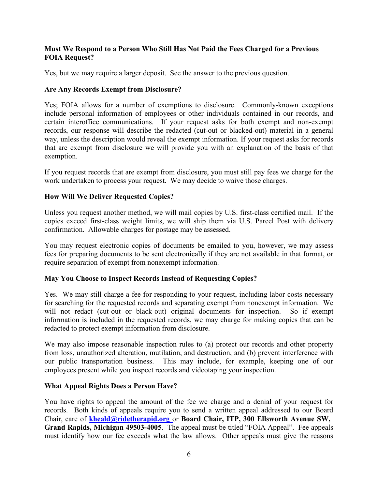## **Must We Respond to a Person Who Still Has Not Paid the Fees Charged for a Previous FOIA Request?**

Yes, but we may require a larger deposit. See the answer to the previous question.

## **Are Any Records Exempt from Disclosure?**

 Yes; FOIA allows for a number of exemptions to disclosure. Commonly-known exceptions certain interoffice communications. If your request asks for both exempt and non-exempt include personal information of employees or other individuals contained in our records, and records, our response will describe the redacted (cut-out or blacked-out) material in a general way, unless the description would reveal the exempt information. If your request asks for records that are exempt from disclosure we will provide you with an explanation of the basis of that exemption.

If you request records that are exempt from disclosure, you must still pay fees we charge for the work undertaken to process your request. We may decide to waive those charges.

## **How Will We Deliver Requested Copies?**

 confirmation. Allowable charges for postage may be assessed. Unless you request another method, we will mail copies by U.S. first-class certified mail. If the copies exceed first-class weight limits, we will ship them via U.S. Parcel Post with delivery

You may request electronic copies of documents be emailed to you, however, we may assess fees for preparing documents to be sent electronically if they are not available in that format, or require separation of exempt from nonexempt information.

## **May You Choose to Inspect Records Instead of Requesting Copies?**

 Yes. We may still charge a fee for responding to your request, including labor costs necessary for searching for the requested records and separating exempt from nonexempt information. We will not redact (cut-out or black-out) original documents for inspection. So if exempt information is included in the requested records, we may charge for making copies that can be redacted to protect exempt information from disclosure.

We may also impose reasonable inspection rules to (a) protect our records and other property from loss, unauthorized alteration, mutilation, and destruction, and (b) prevent interference with our public transportation business. This may include, for example, keeping one of our employees present while you inspect records and videotaping your inspection.

#### **What Appeal Rights Does a Person Have?**

 You have rights to appeal the amount of the fee we charge and a denial of your request for records. Both kinds of appeals require you to send a written appeal addressed to our Board Chair, care of **[kheald@ridetherapid.org](mailto:kheald@ridetherapid.org)** or **Board Chair, ITP, 300 Ellsworth Avenue SW, Grand Rapids, Michigan 49503-4005**. The appeal must be titled "FOIA Appeal". Fee appeals must identify how our fee exceeds what the law allows. Other appeals must give the reasons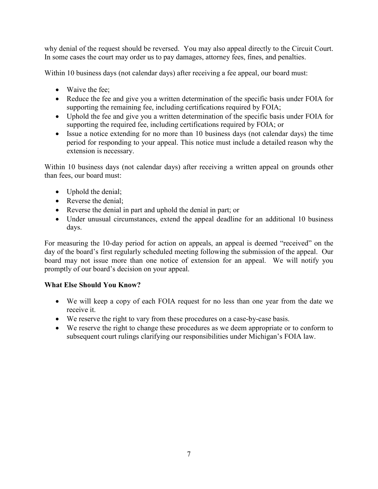why denial of the request should be reversed. You may also appeal directly to the Circuit Court. In some cases the court may order us to pay damages, attorney fees, fines, and penalties.

Within 10 business days (not calendar days) after receiving a fee appeal, our board must:

- Waive the fee:
- Reduce the fee and give you a written determination of the specific basis under FOIA for supporting the remaining fee, including certifications required by FOIA;
- Uphold the fee and give you a written determination of the specific basis under FOIA for supporting the required fee, including certifications required by FOIA; or
- Issue a notice extending for no more than 10 business days (not calendar days) the time period for responding to your appeal. This notice must include a detailed reason why the extension is necessary.

Within 10 business days (not calendar days) after receiving a written appeal on grounds other than fees, our board must:

- Uphold the denial;
- Reverse the denial;
- Reverse the denial in part and uphold the denial in part; or
- Under unusual circumstances, extend the appeal deadline for an additional 10 business days.

For measuring the 10-day period for action on appeals, an appeal is deemed "received" on the day of the board's first regularly scheduled meeting following the submission of the appeal. Our board may not issue more than one notice of extension for an appeal. We will notify you promptly of our board's decision on your appeal.

# **What Else Should You Know?**

- We will keep a copy of each FOIA request for no less than one year from the date we receive it.
- We reserve the right to vary from these procedures on a case-by-case basis.
- We reserve the right to change these procedures as we deem appropriate or to conform to subsequent court rulings clarifying our responsibilities under Michigan's FOIA law.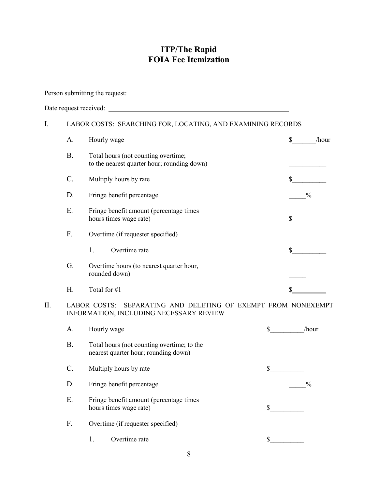# **ITP/The Rapid FOIA Fee Itemization**

| I. | LABOR COSTS: SEARCHING FOR, LOCATING, AND EXAMINING RECORDS |                                     |                                                                                             |              |                |               |
|----|-------------------------------------------------------------|-------------------------------------|---------------------------------------------------------------------------------------------|--------------|----------------|---------------|
|    | А.                                                          | Hourly wage                         |                                                                                             |              | $\mathbb{S}^-$ | /hour         |
|    | <b>B.</b>                                                   | Total hours (not counting overtime; | to the nearest quarter hour; rounding down)                                                 |              |                |               |
|    | C.                                                          | Multiply hours by rate              |                                                                                             |              | $\mathbb{S}$   |               |
|    | D.                                                          | Fringe benefit percentage           |                                                                                             |              | $\frac{0}{0}$  |               |
|    | Ε.                                                          | hours times wage rate)              | Fringe benefit amount (percentage times                                                     |              | $\mathbb{S}$   |               |
|    | F.                                                          | Overtime (if requester specified)   |                                                                                             |              |                |               |
|    |                                                             | 1.<br>Overtime rate                 |                                                                                             |              | $\mathbb{S}^-$ |               |
|    | G.                                                          | rounded down)                       | Overtime hours (to nearest quarter hour,                                                    |              |                |               |
|    | Η.                                                          | Total for #1                        |                                                                                             |              |                |               |
| Π. |                                                             | <b>LABOR COSTS:</b>                 | SEPARATING AND DELETING OF EXEMPT FROM NONEXEMPT<br>INFORMATION, INCLUDING NECESSARY REVIEW |              |                |               |
|    | А.                                                          | Hourly wage                         |                                                                                             | $\mathbb{S}$ |                | /hour         |
|    | <b>B.</b>                                                   |                                     | Total hours (not counting overtime; to the<br>nearest quarter hour; rounding down)          |              |                |               |
|    | C.                                                          | Multiply hours by rate              |                                                                                             | \$           |                |               |
|    | D.                                                          | Fringe benefit percentage           |                                                                                             |              |                | $\frac{0}{0}$ |
|    | Ε.                                                          | hours times wage rate)              | Fringe benefit amount (percentage times                                                     | \$           |                |               |
|    | F.                                                          | Overtime (if requester specified)   |                                                                                             |              |                |               |
|    |                                                             | Overtime rate<br>1.                 |                                                                                             | $\mathbb{S}$ |                |               |
|    |                                                             |                                     |                                                                                             |              |                |               |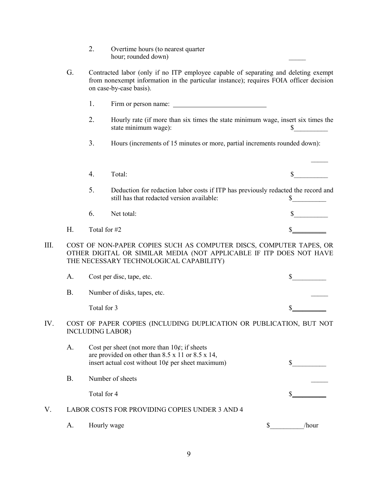- 2. Overtime hours (to nearest quarter hour; rounded down)
- G. Contracted labor (only if no ITP employee capable of separating and deleting exempt from nonexempt information in the particular instance); requires FOIA officer decision on case-by-case basis).
	- 1. Firm or person name:
	- 2. Hourly rate (if more than six times the state minimum wage, insert six times the state minimum wage):  $\qquad \qquad$  \$

 $\frac{1}{2}$ 

3. Hours (increments of 15 minutes or more, partial increments rounded down):

|   |                 | Total:                                                                                                                          |  |
|---|-----------------|---------------------------------------------------------------------------------------------------------------------------------|--|
|   | 5.              | Deduction for redaction labor costs if ITP has previously redacted the record and<br>still has that redacted version available: |  |
|   | 6.              | Net total:                                                                                                                      |  |
| H | Total for $\#2$ |                                                                                                                                 |  |

III. COST OF NON-PAPER COPIES SUCH AS COMPUTER DISCS, COMPUTER TAPES, OR OTHER DIGITAL OR SIMILAR MEDIA (NOT APPLICABLE IF ITP DOES NOT HAVE THE NECESSARY TECHNOLOGICAL CAPABILITY)

|     | А. | Cost per disc, tape, etc.                                                                      |  |
|-----|----|------------------------------------------------------------------------------------------------|--|
|     | В. | Number of disks, tapes, etc.                                                                   |  |
|     |    | Total for 3                                                                                    |  |
| IV. |    | COST OF PAPER COPIES (INCLUDING DUPLICATION OR PUBLICATION, BUT NOT<br><b>INCLUDING LABOR)</b> |  |

|    | A. | Cost per sheet (not more than $10¢$ ; if sheets<br>are provided on other than $8.5 \times 11$ or $8.5 \times 14$ ,<br>insert actual cost without $10¢$ per sheet maximum) |       |
|----|----|---------------------------------------------------------------------------------------------------------------------------------------------------------------------------|-------|
|    | В. | Number of sheets                                                                                                                                                          |       |
|    |    | Total for 4                                                                                                                                                               |       |
| V. |    | LABOR COSTS FOR PROVIDING COPIES UNDER 3 AND 4                                                                                                                            |       |
|    |    | Hourly wage                                                                                                                                                               | /hour |